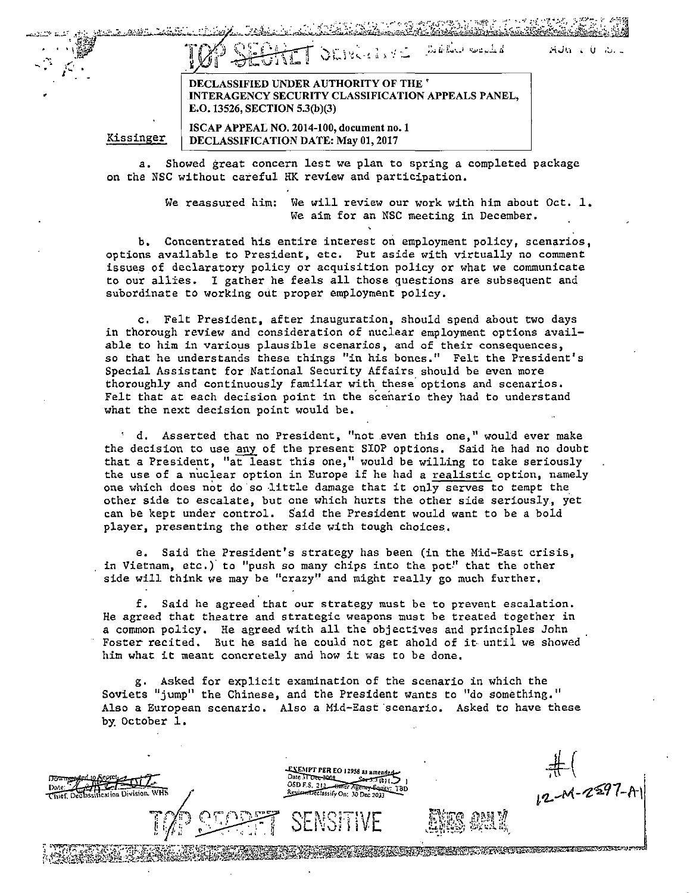|  |  | TOP SECRET ORIGINAL SORROW | . autorio au |
|--|--|----------------------------|--------------|
|  |  |                            |              |

DECLASSIFIED UNDER AUTHORITY OF THE' INTERAGENCY SECURITY CLASSIFICATION APPEALS PANEL, E.O. 13526, SECTION 5.3(b)(3)

Kissinger

ISCAP APPEAL NO. 2014-100, document no.1 DECLASSIFICATION DATE: May 01, 2017

a. Showed great concern lest we plan to spring a completed package on the NSC without careful HK review and participation.

> We reassured him: We will review our work with him about Oct.  $1$ . We aim for an NSC meeting in December.

b. Concentrated his entire interest on employment policy, scenarios, options available to President, etc. Put aside with virtually no comment issues of declaratory policy or acquisition policy or what we communicate to our allies. I gather he feels all those questions are subsequent and subordinate to working out proper employment policy.

c. Felt President, after inauguration, should spend about two days in thorough review and consideration of nuclear employment options avail**able to him in varioµs plausible scenarios, and of their consequences,**  so that he understands these things "in his bones." Felt the President's Special Assistant for National Security Affairs should be even more thoroughly and continuously familiar with these' options and scenarios. Felt that at each decision point in the scenario they had to understand what the next decision point would be.

d. Asserted that no President, "not even this one," would ever make the decision to use any of the present SIOP options. Said he had no doubt that a President, "at least this one," would be wilLing to take seriously the use of a nuclear option in Europe if he had a realistic option, namely one which does not do so little damage that it only serves to tempt the other side to escalate, but one which hurts the other side seriously, yet can be kept under control. Said the President would want to be a bold player, presenting the other side with tough choices.

e. Said the President's strategy has been (in the Mid-East crisis, in Vietnam, etc.) to "push so many chips into the pot" that the other side will think we may be "crazy" and might really go much further.

f. Said he agreed that our strategy must be to prevent escalation. He agreed that theatre and strategic weapons must be treated together in a common policy. He agreed with all the objectives and principles John Foster recited. But he said he could not get ahold of it until we showed him what it meant concretely and how it was to be done.

g. Asked for explicit examination of the scenario in which the Soviets "jump" the Chinese, and the President wants to "do something." Also a European scenario. Also a Mid-East scenario. Asked to have these by October 1.

 $\frac{1}{\sqrt{1+\frac{1}{2}}}$ EXEMPT PER EO 12958 as amended Date 37 Dec-2008<br>Date 37 Dec-2008<br>OSD F.S., 212 <del>Omer Agency Equity</del><br>Aeview Theories Correct Agency Equity मेर्फ ion Division. WHS Review Declassify On: 30 Dec 203 i'l..~f"/.-,Z~91-A-\ Z OZ TELT VAT DE TELTE TELTE VE LATERET DE TELTE ELLE TELTE TELTE DE LA TELTE DE TELTE TELTE DE TELTE TELTE DE<br>1994 JULIO 1994 ALTERNATION DE LA TELTE DE LA TELTE DE LA TELTE DE LA TELTE DE LA TELTE DE LA TELTE DE LA TELT